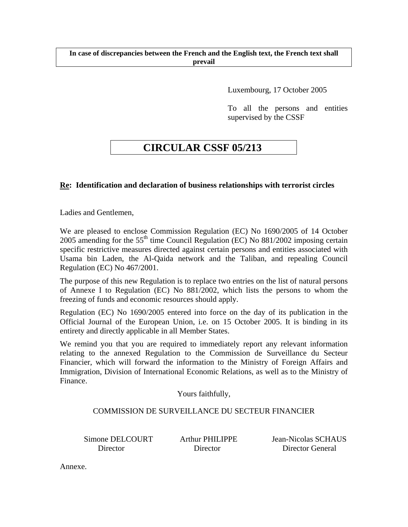Luxembourg, 17 October 2005

To all the persons and entities supervised by the CSSF

# **CIRCULAR CSSF 05/213**

## **Re: Identification and declaration of business relationships with terrorist circles**

Ladies and Gentlemen,

We are pleased to enclose Commission Regulation (EC) No 1690/2005 of 14 October 2005 amending for the  $55<sup>th</sup>$  time Council Regulation (EC) No  $881/2002$  imposing certain specific restrictive measures directed against certain persons and entities associated with Usama bin Laden, the Al-Qaida network and the Taliban, and repealing Council Regulation (EC) No 467/2001.

The purpose of this new Regulation is to replace two entries on the list of natural persons of Annexe I to Regulation (EC) No 881/2002, which lists the persons to whom the freezing of funds and economic resources should apply.

Regulation (EC) No 1690/2005 entered into force on the day of its publication in the Official Journal of the European Union, i.e. on 15 October 2005. It is binding in its entirety and directly applicable in all Member States.

We remind you that you are required to immediately report any relevant information relating to the annexed Regulation to the Commission de Surveillance du Secteur Financier, which will forward the information to the Ministry of Foreign Affairs and Immigration, Division of International Economic Relations, as well as to the Ministry of Finance.

Yours faithfully,

### COMMISSION DE SURVEILLANCE DU SECTEUR FINANCIER

Simone DELCOURT Arthur PHILIPPE Jean-Nicolas SCHAUS Director Director Director General

Annexe.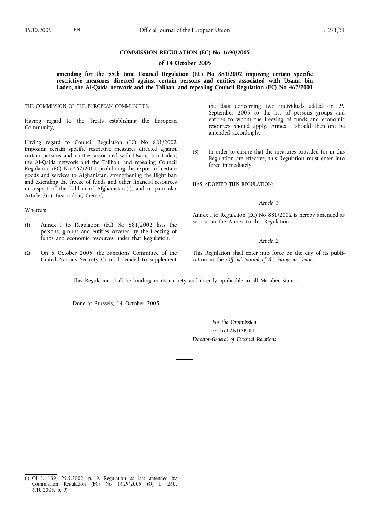#### **COMMISSION REGULATION (EC) No 1690/2005**

#### **of 14 October 2005**

**amending for the 55th time Council Regulation (EC) No 881/2002 imposing certain specific restrictive measures directed against certain persons and entities associated with Usama bin Laden, the Al-Qaida network and the Taliban, and repealing Council Regulation (EC) No 467/2001**

THE COMMISSION OF THE EUROPEAN COMMUNITIES,

Having regard to the Treaty establishing the European Community,

Having regard to Council Regulation (EC) No 881/2002 imposing certain specific restrictive measures directed against certain persons and entities associated with Usama bin Laden, the Al-Qaida network and the Taliban, and repealing Council Regulation (EC) No 467/2001 prohibiting the export of certain goods and services to Afghanistan, strengthening the flight ban and extending the freeze of funds and other financial resources in respect of the Taliban of Afghanistan  $(1)$ , and in particular Article 7(1), first indent, thereof,

#### Whereas:

- (1) Annex I to Regulation (EC) No 881/2002 lists the persons, groups and entities covered by the freezing of funds and economic resources under that Regulation.
- (2) On 6 October 2005, the Sanctions Committee of the United Nations Security Council decided to supplement

the data concerning two individuals added on 29 September 2005 to the list of persons groups and entities to whom the freezing of funds and economic resources should apply. Annex I should therefore be amended accordingly.

(3) In order to ensure that the measures provided for in this Regulation are effective, this Regulation must enter into force immediately,

HAS ADOPTED THIS REGULATION:

#### *Article 1*

Annex I to Regulation (EC) No 881/2002 is hereby amended as set out in the Annex to this Regulation.

#### *Article 2*

This Regulation shall enter into force on the day of its publication in the *Official Journal of the European Union*.

This Regulation shall be binding in its entirety and directly applicable in all Member States.

Done at Brussels, 14 October 2005.

*For the Commission* Eneko LANDÁBURU *Director-General of External Relations*

<sup>(</sup> 1) OJ L 139, 29.5.2002, p. 9. Regulation as last amended by Commission Regulation (EC) No 1629/2005 (OJ L 260, 6.10.2005, p. 9).